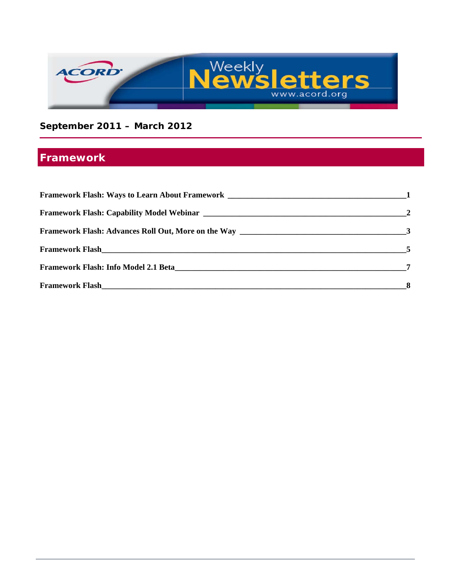

**September 2011 – March 2012**

## **Framework**

| <b>Framework Flash: Info Model 2.1 Beta</b> |  |
|---------------------------------------------|--|
|                                             |  |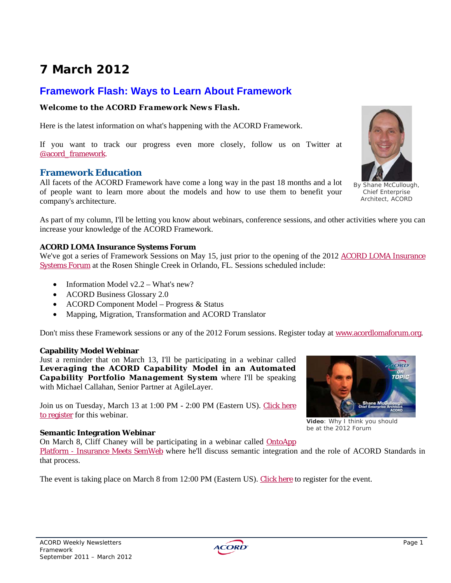# **7 March 2012**

### **Framework Flash: Ways to Learn About Framework**

#### *Welcome to the ACORD Framework News Flash.*

Here is the latest information on what's happening with the ACORD Framework.

If you want to track our progress even more closely, follow us on Twitter at @acord\_framework.

#### **Framework Education**

All facets of the ACORD Framework have come a long way in the past 18 months and a lot of people want to learn more about the models and how to use them to benefit your company's architecture.

As part of my column, I'll be letting you know about webinars, conference sessions, and other activities where you can increase your knowledge of the ACORD Framework.

#### **ACORD LOMA Insurance Systems Forum**

We've got a series of Framework Sessions on May 15, just prior to the opening of the 2012 ACORD LOMA Insurance Systems Forum at the Rosen Shingle Creek in Orlando, FL. Sessions scheduled include:

- Information Model  $v2.2 What's new?$
- ACORD Business Glossary 2.0
- ACORD Component Model Progress & Status
- Mapping, Migration, Transformation and ACORD Translator

Don't miss these Framework sessions or any of the 2012 Forum sessions. Register today at www.acordlomaforum.org.

#### **Capability Model Webinar**

Just a reminder that on March 13, I'll be participating in a webinar called *Leveraging the ACORD Capability Model in an Automated Capability Portfolio Management System* where I'll be speaking with Michael Callahan, Senior Partner at AgileLayer.

Join us on Tuesday, March 13 at 1:00 PM - 2:00 PM (Eastern US). Click here to register for this webinar.

#### **Semantic Integration Webinar**

On March 8, Cliff Chaney will be participating in a webinar called OntoApp Platform - Insurance Meets SemWeb where he'll discuss semantic integration and the role of ACORD Standards in that process.

The event is taking place on March 8 from 12:00 PM (Eastern US). Click here to register for the event.





By Shane McCullough, Chief Enterprise Architect, ACORD



**Video**: Why I think you should be at the 2012 Forum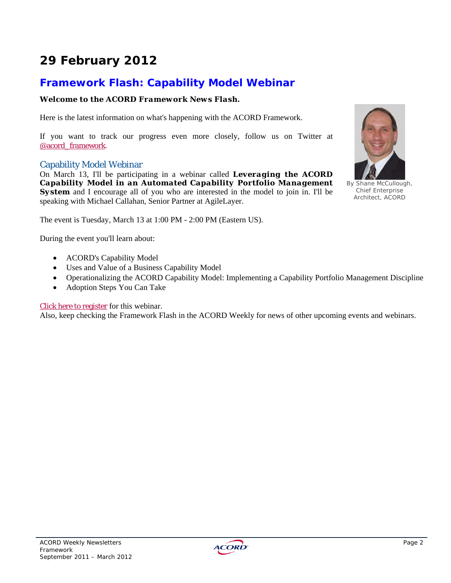# **29 February 2012**

### **Framework Flash: Capability Model Webinar**

#### *Welcome to the ACORD Framework News Flash.*

Here is the latest information on what's happening with the ACORD Framework.

If you want to track our progress even more closely, follow us on Twitter at @acord\_framework.

#### Capability Model Webinar

On March 13, I'll be participating in a webinar called *Leveraging the ACORD Capability Model in an Automated Capability Portfolio Management*  **System** and I encourage all of you who are interested in the model to join in. I'll be speaking with Michael Callahan, Senior Partner at AgileLayer.

The event is Tuesday, March 13 at 1:00 PM - 2:00 PM (Eastern US).

During the event you'll learn about:

- ACORD's Capability Model
- Uses and Value of a Business Capability Model
- Operationalizing the ACORD Capability Model: Implementing a Capability Portfolio Management Discipline
- Adoption Steps You Can Take

#### Click here to register for this webinar.

Also, keep checking the Framework Flash in the ACORD Weekly for news of other upcoming events and webinars.



By Shane McCullough, Chief Enterprise Architect, ACORD

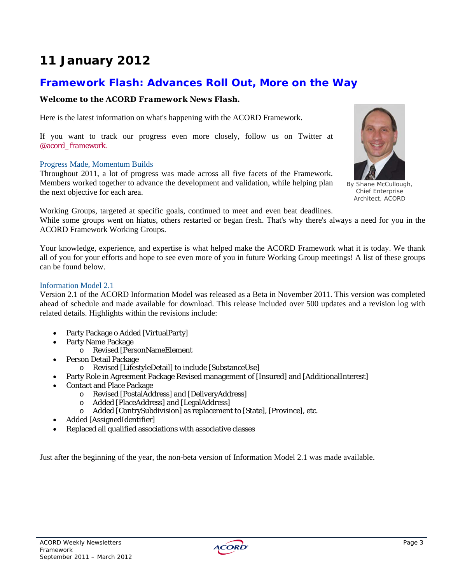## **11 January 2012**

### **Framework Flash: Advances Roll Out, More on the Way**

#### *Welcome to the ACORD Framework News Flash.*

Here is the latest information on what's happening with the ACORD Framework.

If you want to track our progress even more closely, follow us on Twitter at @acord\_framework.

#### Progress Made, Momentum Builds

Throughout 2011, a lot of progress was made across all five facets of the Framework. Members worked together to advance the development and validation, while helping plan the next objective for each area.



By Shane McCullough, Chief Enterprise Architect, ACORD

Working Groups, targeted at specific goals, continued to meet and even beat deadlines.

While some groups went on hiatus, others restarted or began fresh. That's why there's always a need for you in the ACORD Framework Working Groups.

Your knowledge, experience, and expertise is what helped make the ACORD Framework what it is today. We thank all of you for your efforts and hope to see even more of you in future Working Group meetings! A list of these groups can be found below.

#### Information Model 2.1

Version 2.1 of the ACORD Information Model was released as a Beta in November 2011. This version was completed ahead of schedule and made available for download. This release included over 500 updates and a revision log with related details. Highlights within the revisions include:

- Party Package o Added [VirtualParty]
- Party Name Package
	- o Revised [PersonNameElement
- Person Detail Package
	- o Revised [LifestyleDetail] to include [SubstanceUse]
- Party Role in Agreement Package Revised management of [Insured] and [AdditionalInterest]
- Contact and Place Package
	- o Revised [PostalAddress] and [DeliveryAddress]
	- o Added [PlaceAddress] and [LegalAddress]
	- o Added [ContrySubdivision] as replacement to [State], [Province], etc.
- Added [AssignedIdentifier]
- Replaced all qualified associations with associative classes

Just after the beginning of the year, the non-beta version of Information Model 2.1 was made available.

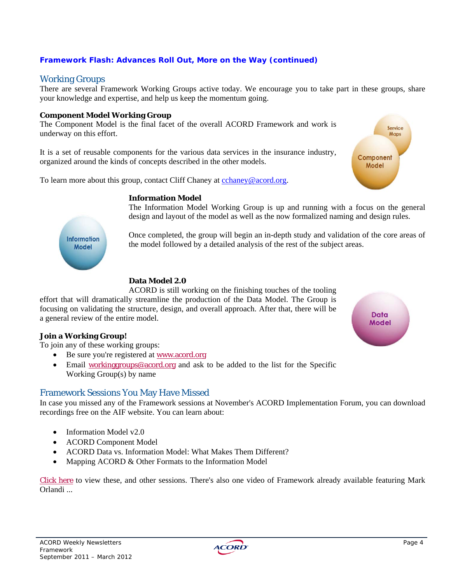#### *Framework Flash: Advances Roll Out, More on the Way (continued)*

#### Working Groups

There are several Framework Working Groups active today. We encourage you to take part in these groups, share your knowledge and expertise, and help us keep the momentum going.

#### **Component Model Working Group**

The Component Model is the final facet of the overall ACORD Framework and work is underway on this effort.

It is a set of reusable components for the various data services in the insurance industry, organized around the kinds of concepts described in the other models.

To learn more about this group, contact Cliff Chaney at cchaney@acord.org.

#### **Information Model**

The Information Model Working Group is up and running with a focus on the general design and layout of the model as well as the now formalized naming and design rules.

Once completed, the group will begin an in-depth study and validation of the core areas of the model followed by a detailed analysis of the rest of the subject areas.

#### **Data Model 2.0**

ACORD is still working on the finishing touches of the tooling effort that will dramatically streamline the production of the Data Model. The Group is focusing on validating the structure, design, and overall approach. After that, there will be a general review of the entire model.

#### **Join a Working Group!**

**Information** Model

To join any of these working groups:

- Be sure you're registered at www.acord.org
- Email working groups@acord.org and ask to be added to the list for the Specific Working Group(s) by name

#### Framework Sessions You May Have Missed

In case you missed any of the Framework sessions at November's ACORD Implementation Forum, you can download recordings free on the AIF website. You can learn about:

- Information Model v2.0
- ACORD Component Model
- ACORD Data vs. Information Model: What Makes Them Different?
- Mapping ACORD & Other Formats to the Information Model

Click here to view these, and other sessions. There's also one video of Framework already available featuring Mark Orlandi ...





Service Maps

Component Model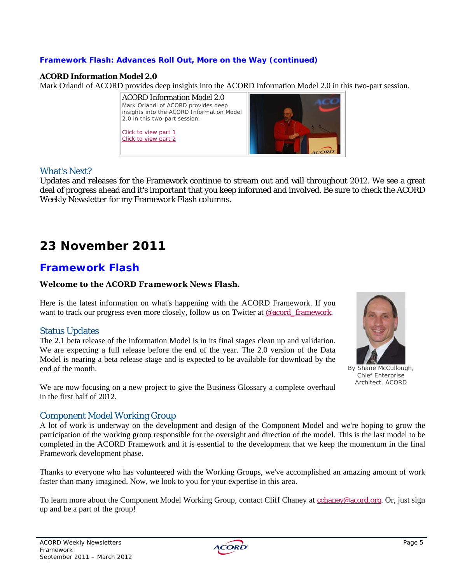#### *Framework Flash: Advances Roll Out, More on the Way (continued)*

#### **ACORD Information Model 2.0**

Mark Orlandi of ACORD provides deep insights into the ACORD Information Model 2.0 in this two-part session.



#### What's Next?

Updates and releases for the Framework continue to stream out and will throughout 2012. We see a great deal of progress ahead and it's important that you keep informed and involved. Be sure to check the ACORD Weekly Newsletter for my Framework Flash columns.

## **23 November 2011**

### **Framework Flash**

#### *Welcome to the ACORD Framework News Flash.*

Here is the latest information on what's happening with the ACORD Framework. If you want to track our progress even more closely, follow us on Twitter at @acord\_framework.

#### Status Updates

The 2.1 beta release of the Information Model is in its final stages clean up and validation. We are expecting a full release before the end of the year. The 2.0 version of the Data Model is nearing a beta release stage and is expected to be available for download by the end of the month.

We are now focusing on a new project to give the Business Glossary a complete overhaul in the first half of 2012.

#### Component Model Working Group

A lot of work is underway on the development and design of the Component Model and we're hoping to grow the participation of the working group responsible for the oversight and direction of the model. This is the last model to be completed in the ACORD Framework and it is essential to the development that we keep the momentum in the final Framework development phase.

Thanks to everyone who has volunteered with the Working Groups, we've accomplished an amazing amount of work faster than many imagined. Now, we look to you for your expertise in this area.

To learn more about the Component Model Working Group, contact Cliff Chaney at cchaney@acord.org. Or, just sign up and be a part of the group!



By Shane McCullough, Chief Enterprise Architect, ACORD

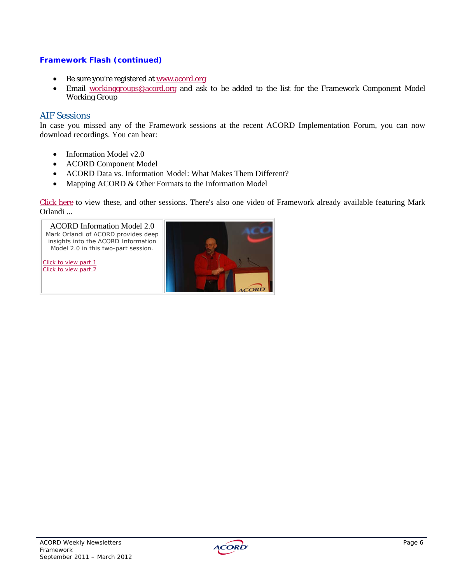#### *Framework Flash (continued)*

- Be sure you're registered at www.acord.org
- Email workinggroups@acord.org and ask to be added to the list for the Framework Component Model Working Group

#### AIF Sessions

In case you missed any of the Framework sessions at the recent ACORD Implementation Forum, you can now download recordings. You can hear:

- Information Model v2.0
- ACORD Component Model
- ACORD Data vs. Information Model: What Makes Them Different?
- Mapping ACORD & Other Formats to the Information Model

Click here to view these, and other sessions. There's also one video of Framework already available featuring Mark Orlandi ...



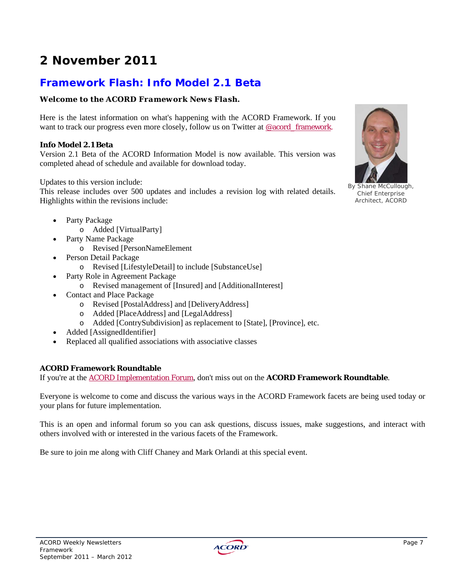# **2 November 2011**

### **Framework Flash: Info Model 2.1 Beta**

#### *Welcome to the ACORD Framework News Flash.*

Here is the latest information on what's happening with the ACORD Framework. If you want to track our progress even more closely, follow us on Twitter at @acord\_framework.

#### **Info Model 2.1 Beta**

Version 2.1 Beta of the ACORD Information Model is now available. This version was completed ahead of schedule and available for download today.

Updates to this version include:

This release includes over 500 updates and includes a revision log with related details. Highlights within the revisions include:

- Party Package
	- o Added [VirtualParty]
	- Party Name Package
		- o Revised [PersonNameElement
- Person Detail Package
	- o Revised [LifestyleDetail] to include [SubstanceUse]
	- Party Role in Agreement Package
		- o Revised management of [Insured] and [AdditionalInterest]
- Contact and Place Package
	- o Revised [PostalAddress] and [DeliveryAddress]
	- o Added [PlaceAddress] and [LegalAddress]
	- o Added [ContrySubdivision] as replacement to [State], [Province], etc.
- Added [AssignedIdentifier]
- Replaced all qualified associations with associative classes

#### **ACORD Framework Roundtable**

If you're at the ACORD Implementation Forum, don't miss out on the **ACORD Framework Roundtable**.

Everyone is welcome to come and discuss the various ways in the ACORD Framework facets are being used today or your plans for future implementation.

This is an open and informal forum so you can ask questions, discuss issues, make suggestions, and interact with others involved with or interested in the various facets of the Framework.

Be sure to join me along with Cliff Chaney and Mark Orlandi at this special event.



By Shane McCullough, Chief Enterprise Architect, ACORD